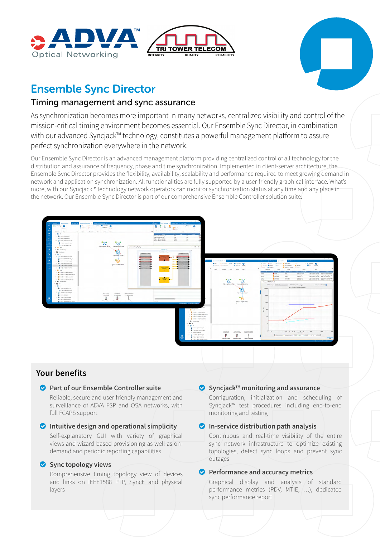





# Ensemble Sync Director

### Timing management and sync assurance

As synchronization becomes more important in many networks, centralized visibility and control of the mission-critical timing environment becomes essential. Our Ensemble Sync Director, in combination with our advanced Syncjack™ technology, constitutes a powerful management platform to assure perfect synchronization everywhere in the network.

Our Ensemble Sync Director is an advanced management platform providing centralized control of all technology for the distribution and assurance of frequency, phase and time synchronization. Implemented in client-server architecture, the Ensemble Sync Director provides the flexibility, availability, scalability and performance required to meet growing demand in network and application synchronization. All functionalities are fully supported by a user-friendly graphical interface. What's more, with our Syncjack™ technology network operators can monitor synchronization status at any time and any place in the network. Our Ensemble Sync Director is part of our comprehensive Ensemble Controller solution suite.



### **Your benefits**

### o **Part of our Ensemble Controller suite**

Reliable, secure and user-friendly management and surveillance of ADVA FSP and OSA networks, with full FCAPS support

### $\bullet$  Intuitive design and operational simplicity

Self-explanatory GUI with variety of graphical views and wizard-based provisioning as well as ondemand and periodic reporting capabilities

### o **Sync topology views**

Comprehensive timing topology view of devices and links on IEEE1588 PTP, SyncE and physical layers

### o **Syncjack™ monitoring and assurance**

Configuration, initialization and scheduling of Syncjack™ test procedures including end-to-end monitoring and testing

#### o **In-service distribution path analysis**

Continuous and real-time visibility of the entire sync network infrastructure to optimize existing topologies, detect sync loops and prevent sync outages

### **O** Performance and accuracy metrics

Graphical display and analysis of standard performance metrics (PDV, MTIE, …), dedicated sync performance report